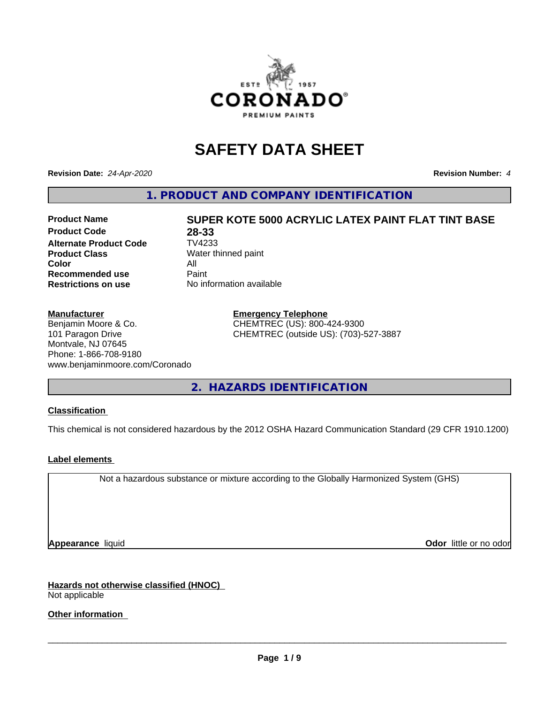

# **SAFETY DATA SHEET**

**Revision Date:** *24-Apr-2020* **Revision Number:** *4*

**1. PRODUCT AND COMPANY IDENTIFICATION**

### **Product Code 28-33**<br>**Alternate Product Code** TV4233 **Alternate Product Code Product Class** Water thinned paint **Color** All<br> **Recommended use** Paint **Recommended use Restrictions on use** No information available

### **Manufacturer**

Benjamin Moore & Co. 101 Paragon Drive Montvale, NJ 07645 Phone: 1-866-708-9180 www.benjaminmoore.com/Coronado

**Product Name SUPER KOTE 5000 ACRYLIC LATEX PAINT FLAT TINT BASE**

**Emergency Telephone** CHEMTREC (US): 800-424-9300 CHEMTREC (outside US): (703)-527-3887

**2. HAZARDS IDENTIFICATION**

### **Classification**

This chemical is not considered hazardous by the 2012 OSHA Hazard Communication Standard (29 CFR 1910.1200)

### **Label elements**

Not a hazardous substance or mixture according to the Globally Harmonized System (GHS)

**Appearance** liquid **Contract Contract Contract Contract Contract Contract Contract Contract Contract Contract Contract Contract Contract Contract Contract Contract Contract Contract Contract Contract Contract Contract Con** 

**Hazards not otherwise classified (HNOC)** Not applicable

**Other information**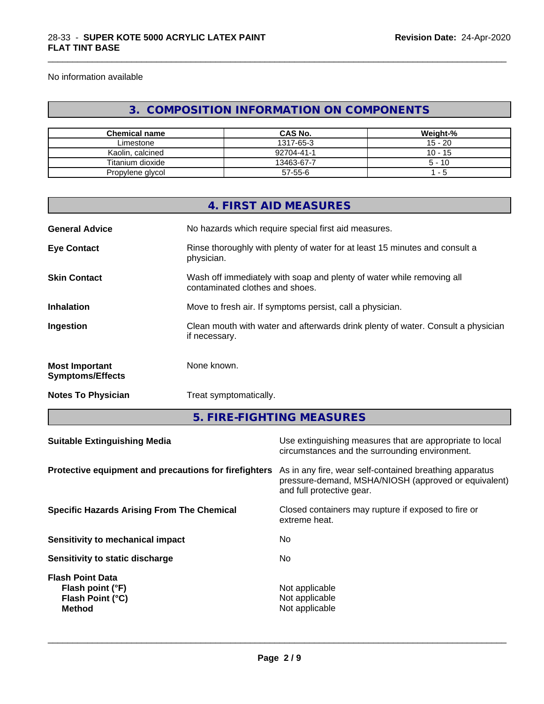No information available

## **3. COMPOSITION INFORMATION ON COMPONENTS**

\_\_\_\_\_\_\_\_\_\_\_\_\_\_\_\_\_\_\_\_\_\_\_\_\_\_\_\_\_\_\_\_\_\_\_\_\_\_\_\_\_\_\_\_\_\_\_\_\_\_\_\_\_\_\_\_\_\_\_\_\_\_\_\_\_\_\_\_\_\_\_\_\_\_\_\_\_\_\_\_\_\_\_\_\_\_\_\_\_\_\_\_\_

| <b>Chemical name</b> | <b>CAS No.</b> | Weight-%  |
|----------------------|----------------|-----------|
| Limestone            | 1317-65-3      | $15 - 20$ |
| Kaolin, calcined     | 92704-41-1     | $10 - 15$ |
| Titanium dioxide     | 13463-67-7     | $5 - 10$  |
| Propylene glycol     | 57-55-6        | -5        |

|                                                  | 4. FIRST AID MEASURES                                                                                    |
|--------------------------------------------------|----------------------------------------------------------------------------------------------------------|
| <b>General Advice</b>                            | No hazards which require special first aid measures.                                                     |
| <b>Eye Contact</b>                               | Rinse thoroughly with plenty of water for at least 15 minutes and consult a<br>physician.                |
| <b>Skin Contact</b>                              | Wash off immediately with soap and plenty of water while removing all<br>contaminated clothes and shoes. |
| <b>Inhalation</b>                                | Move to fresh air. If symptoms persist, call a physician.                                                |
| Ingestion                                        | Clean mouth with water and afterwards drink plenty of water. Consult a physician<br>if necessary.        |
| <b>Most Important</b><br><b>Symptoms/Effects</b> | None known.                                                                                              |
| <b>Notes To Physician</b>                        | Treat symptomatically.                                                                                   |
|                                                  |                                                                                                          |

**5. FIRE-FIGHTING MEASURES**

| <b>Suitable Extinguishing Media</b>                                              | Use extinguishing measures that are appropriate to local<br>circumstances and the surrounding environment.                                   |
|----------------------------------------------------------------------------------|----------------------------------------------------------------------------------------------------------------------------------------------|
| Protective equipment and precautions for firefighters                            | As in any fire, wear self-contained breathing apparatus<br>pressure-demand, MSHA/NIOSH (approved or equivalent)<br>and full protective gear. |
| <b>Specific Hazards Arising From The Chemical</b>                                | Closed containers may rupture if exposed to fire or<br>extreme heat.                                                                         |
| Sensitivity to mechanical impact                                                 | No                                                                                                                                           |
| Sensitivity to static discharge                                                  | No.                                                                                                                                          |
| <b>Flash Point Data</b><br>Flash point (°F)<br>Flash Point (°C)<br><b>Method</b> | Not applicable<br>Not applicable<br>Not applicable                                                                                           |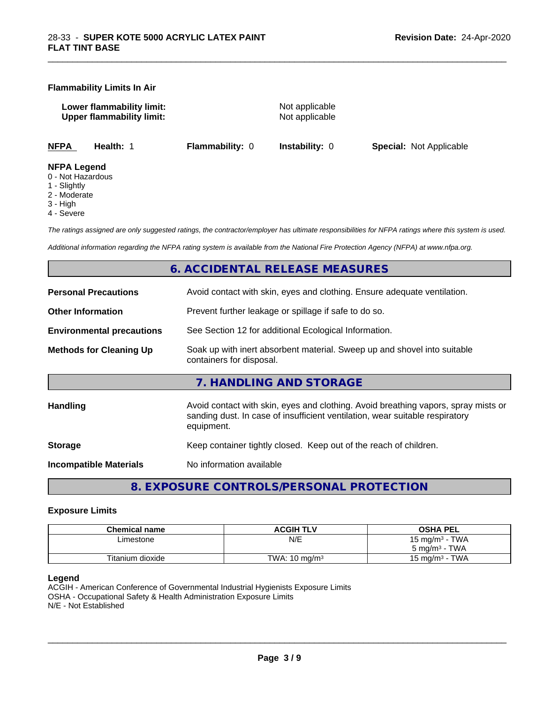#### **Flammability Limits In Air**

**Lower flammability limit:** Not applicable **Upper flammability limit:** Not applicable

\_\_\_\_\_\_\_\_\_\_\_\_\_\_\_\_\_\_\_\_\_\_\_\_\_\_\_\_\_\_\_\_\_\_\_\_\_\_\_\_\_\_\_\_\_\_\_\_\_\_\_\_\_\_\_\_\_\_\_\_\_\_\_\_\_\_\_\_\_\_\_\_\_\_\_\_\_\_\_\_\_\_\_\_\_\_\_\_\_\_\_\_\_

**NFPA Health:** 1 **Flammability:** 0 **Instability:** 0 **Special:** Not Applicable

#### **NFPA Legend**

- 0 Not Hazardous
- 1 Slightly
- 2 Moderate
- 3 High
- 4 Severe

*The ratings assigned are only suggested ratings, the contractor/employer has ultimate responsibilities for NFPA ratings where this system is used.*

*Additional information regarding the NFPA rating system is available from the National Fire Protection Agency (NFPA) at www.nfpa.org.*

### **6. ACCIDENTAL RELEASE MEASURES**

| <b>Personal Precautions</b>      | Avoid contact with skin, eyes and clothing. Ensure adequate ventilation.                                                                                                         |
|----------------------------------|----------------------------------------------------------------------------------------------------------------------------------------------------------------------------------|
| <b>Other Information</b>         | Prevent further leakage or spillage if safe to do so.                                                                                                                            |
| <b>Environmental precautions</b> | See Section 12 for additional Ecological Information.                                                                                                                            |
| <b>Methods for Cleaning Up</b>   | Soak up with inert absorbent material. Sweep up and shovel into suitable<br>containers for disposal.                                                                             |
|                                  | 7. HANDLING AND STORAGE                                                                                                                                                          |
| <b>Handling</b>                  | Avoid contact with skin, eyes and clothing. Avoid breathing vapors, spray mists or<br>sanding dust. In case of insufficient ventilation, wear suitable respiratory<br>equipment. |
| <b>Storage</b>                   | Keep container tightly closed. Keep out of the reach of children.                                                                                                                |
| <b>Incompatible Materials</b>    | No information available                                                                                                                                                         |
|                                  |                                                                                                                                                                                  |

**8. EXPOSURE CONTROLS/PERSONAL PROTECTION**

#### **Exposure Limits**

| <b>Chemical name</b> | <b>ACGIH TLV</b>         | <b>OSHA PEL</b>                        |
|----------------------|--------------------------|----------------------------------------|
| ∟imestone            | N/E                      | <b>TWA</b><br>15 mg/m <sup>3</sup> - 1 |
|                      |                          | <b>TWA</b><br>$5 \text{ ma/m}^3$ -     |
| Titanium dioxide     | TWA: $10 \text{ ma/m}^3$ | <b>TWA</b><br>15 mg/m <sup>3</sup> - . |

#### **Legend**

ACGIH - American Conference of Governmental Industrial Hygienists Exposure Limits OSHA - Occupational Safety & Health Administration Exposure Limits N/E - Not Established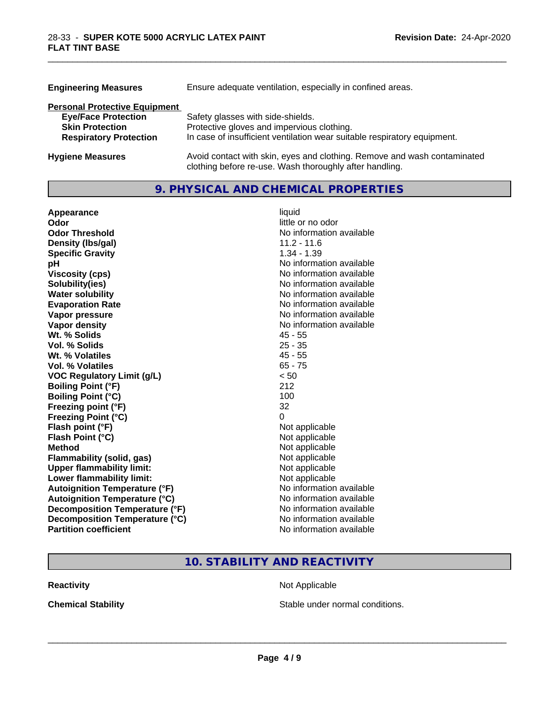| <b>Engineering Measures</b>          | Ensure adequate ventilation, especially in confined areas.                                                                          |  |  |
|--------------------------------------|-------------------------------------------------------------------------------------------------------------------------------------|--|--|
| <b>Personal Protective Equipment</b> |                                                                                                                                     |  |  |
| <b>Eye/Face Protection</b>           | Safety glasses with side-shields.                                                                                                   |  |  |
| <b>Skin Protection</b>               | Protective gloves and impervious clothing.                                                                                          |  |  |
| <b>Respiratory Protection</b>        | In case of insufficient ventilation wear suitable respiratory equipment.                                                            |  |  |
| <b>Hygiene Measures</b>              | Avoid contact with skin, eyes and clothing. Remove and wash contaminated<br>clothing before re-use. Wash thoroughly after handling. |  |  |

\_\_\_\_\_\_\_\_\_\_\_\_\_\_\_\_\_\_\_\_\_\_\_\_\_\_\_\_\_\_\_\_\_\_\_\_\_\_\_\_\_\_\_\_\_\_\_\_\_\_\_\_\_\_\_\_\_\_\_\_\_\_\_\_\_\_\_\_\_\_\_\_\_\_\_\_\_\_\_\_\_\_\_\_\_\_\_\_\_\_\_\_\_

### **9. PHYSICAL AND CHEMICAL PROPERTIES**

| Appearance                           | liquid                   |
|--------------------------------------|--------------------------|
| Odor                                 | little or no odor        |
| <b>Odor Threshold</b>                | No information available |
| Density (Ibs/gal)                    | $11.2 - 11.6$            |
| <b>Specific Gravity</b>              | $1.34 - 1.39$            |
| рH                                   | No information available |
| <b>Viscosity (cps)</b>               | No information available |
| Solubility(ies)                      | No information available |
| <b>Water solubility</b>              | No information available |
| <b>Evaporation Rate</b>              | No information available |
| Vapor pressure                       | No information available |
| Vapor density                        | No information available |
| Wt. % Solids                         | $45 - 55$                |
| Vol. % Solids                        | $25 - 35$                |
| Wt. % Volatiles                      | $45 - 55$                |
| Vol. % Volatiles                     | $65 - 75$                |
| <b>VOC Regulatory Limit (g/L)</b>    | < 50                     |
| <b>Boiling Point (°F)</b>            | 212                      |
| <b>Boiling Point (°C)</b>            | 100                      |
| Freezing point (°F)                  | 32                       |
| <b>Freezing Point (°C)</b>           | 0                        |
| Flash point (°F)                     | Not applicable           |
| Flash Point (°C)                     | Not applicable           |
| <b>Method</b>                        | Not applicable           |
| Flammability (solid, gas)            | Not applicable           |
| <b>Upper flammability limit:</b>     | Not applicable           |
| Lower flammability limit:            | Not applicable           |
| <b>Autoignition Temperature (°F)</b> | No information available |
| <b>Autoignition Temperature (°C)</b> | No information available |
| Decomposition Temperature (°F)       | No information available |
| Decomposition Temperature (°C)       | No information available |
| <b>Partition coefficient</b>         | No information available |

### **10. STABILITY AND REACTIVITY**

**Reactivity Not Applicable** Not Applicable

**Chemical Stability Chemical Stability** Stable under normal conditions.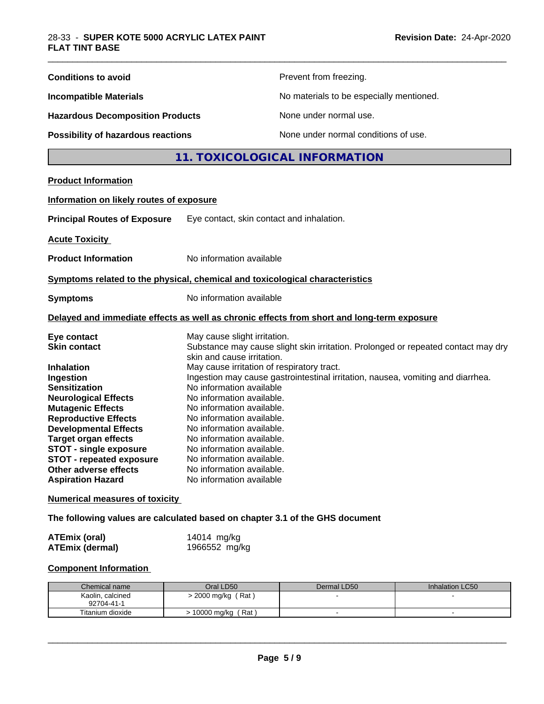| <b>Conditions to avoid</b>                                                                 |                                                       | Prevent from freezing.                                                                                            |                 |  |
|--------------------------------------------------------------------------------------------|-------------------------------------------------------|-------------------------------------------------------------------------------------------------------------------|-----------------|--|
| <b>Incompatible Materials</b>                                                              |                                                       | No materials to be especially mentioned.                                                                          |                 |  |
| <b>Hazardous Decomposition Products</b>                                                    |                                                       | None under normal use.                                                                                            |                 |  |
| <b>Possibility of hazardous reactions</b>                                                  |                                                       | None under normal conditions of use.                                                                              |                 |  |
|                                                                                            |                                                       | 11. TOXICOLOGICAL INFORMATION                                                                                     |                 |  |
| <b>Product Information</b>                                                                 |                                                       |                                                                                                                   |                 |  |
| Information on likely routes of exposure                                                   |                                                       |                                                                                                                   |                 |  |
| <b>Principal Routes of Exposure</b>                                                        | Eye contact, skin contact and inhalation.             |                                                                                                                   |                 |  |
| <b>Acute Toxicity</b>                                                                      |                                                       |                                                                                                                   |                 |  |
| <b>Product Information</b>                                                                 | No information available                              |                                                                                                                   |                 |  |
| Symptoms related to the physical, chemical and toxicological characteristics               |                                                       |                                                                                                                   |                 |  |
| <b>Symptoms</b>                                                                            | No information available                              |                                                                                                                   |                 |  |
| Delayed and immediate effects as well as chronic effects from short and long-term exposure |                                                       |                                                                                                                   |                 |  |
|                                                                                            |                                                       |                                                                                                                   |                 |  |
| Eye contact<br><b>Skin contact</b>                                                         | skin and cause irritation.                            | May cause slight irritation.<br>Substance may cause slight skin irritation. Prolonged or repeated contact may dry |                 |  |
| Inhalation                                                                                 |                                                       | May cause irritation of respiratory tract.                                                                        |                 |  |
| Ingestion                                                                                  |                                                       | Ingestion may cause gastrointestinal irritation, nausea, vomiting and diarrhea.                                   |                 |  |
| <b>Sensitization</b><br><b>Neurological Effects</b>                                        | No information available<br>No information available. |                                                                                                                   |                 |  |
| <b>Mutagenic Effects</b>                                                                   | No information available.                             |                                                                                                                   |                 |  |
| <b>Reproductive Effects</b>                                                                | No information available.                             |                                                                                                                   |                 |  |
| <b>Developmental Effects</b>                                                               |                                                       | No information available.                                                                                         |                 |  |
| <b>Target organ effects</b>                                                                |                                                       | No information available.                                                                                         |                 |  |
| <b>STOT - single exposure</b>                                                              |                                                       | No information available.                                                                                         |                 |  |
| <b>STOT - repeated exposure</b>                                                            | No information available.                             |                                                                                                                   |                 |  |
| Other adverse effects<br><b>Aspiration Hazard</b>                                          | No information available.<br>No information available |                                                                                                                   |                 |  |
| <b>Numerical measures of toxicity</b>                                                      |                                                       |                                                                                                                   |                 |  |
| The following values are calculated based on chapter 3.1 of the GHS document               |                                                       |                                                                                                                   |                 |  |
|                                                                                            |                                                       |                                                                                                                   |                 |  |
| <b>ATEmix (oral)</b><br><b>ATEmix (dermal)</b>                                             | 14014 mg/kg<br>1966552 mg/kg                          |                                                                                                                   |                 |  |
| <b>Component Information</b>                                                               |                                                       |                                                                                                                   |                 |  |
| Chemical name                                                                              | Oral LD50                                             | Dermal LD50                                                                                                       | Inhalation LC50 |  |
| Kaolin, calcined<br>92704-41-1                                                             | > 2000 mg/kg (Rat)                                    |                                                                                                                   |                 |  |
| Titanium dioxide                                                                           | > 10000 mg/kg (Rat)                                   | $\blacksquare$                                                                                                    | $\blacksquare$  |  |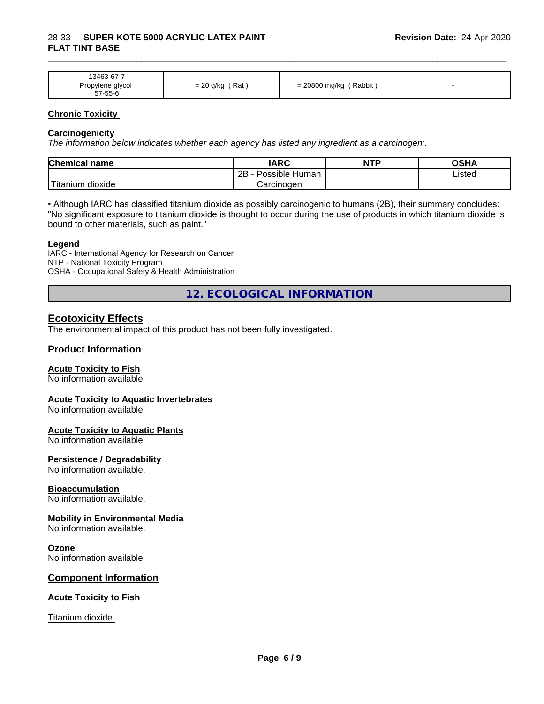| $\sim$ $\sim$<br>10100<br>.3463-67-7 |                                                        |                                             |  |
|--------------------------------------|--------------------------------------------------------|---------------------------------------------|--|
| alycol<br>Propylene                  | $\sim$<br>Rat<br>$\alpha$ /kr<br>- 20 L<br><b>UIIV</b> | 20800<br>$\cdots$<br>Rabbit<br>, mg/kg<br>- |  |
| 57-55-6                              |                                                        |                                             |  |

\_\_\_\_\_\_\_\_\_\_\_\_\_\_\_\_\_\_\_\_\_\_\_\_\_\_\_\_\_\_\_\_\_\_\_\_\_\_\_\_\_\_\_\_\_\_\_\_\_\_\_\_\_\_\_\_\_\_\_\_\_\_\_\_\_\_\_\_\_\_\_\_\_\_\_\_\_\_\_\_\_\_\_\_\_\_\_\_\_\_\_\_\_

#### **Chronic Toxicity**

#### **Carcinogenicity**

*The information below indicateswhether each agency has listed any ingredient as a carcinogen:.*

| <b>Chemical name</b>              | <b>IARC</b>                  | <b>NTP</b> | <b>OSHA</b> |
|-----------------------------------|------------------------------|------------|-------------|
|                                   | .<br>2B<br>Human<br>∽ossible |            | ∟isted      |
| $-1$<br>dioxide<br><b>itanium</b> | Carcinogen                   |            |             |

• Although IARC has classified titanium dioxide as possibly carcinogenic to humans (2B), their summary concludes: "No significant exposure to titanium dioxide is thought to occur during the use of products in which titanium dioxide is bound to other materials, such as paint."

#### **Legend**

IARC - International Agency for Research on Cancer NTP - National Toxicity Program OSHA - Occupational Safety & Health Administration

**12. ECOLOGICAL INFORMATION**

### **Ecotoxicity Effects**

The environmental impact of this product has not been fully investigated.

#### **Product Information**

#### **Acute Toxicity to Fish**

No information available

#### **Acute Toxicity to Aquatic Invertebrates**

No information available

#### **Acute Toxicity to Aquatic Plants**

No information available

#### **Persistence / Degradability**

No information available.

#### **Bioaccumulation**

No information available.

#### **Mobility in Environmental Media**

No information available.

#### **Ozone**

No information available

#### **Component Information**

#### **Acute Toxicity to Fish**

Titanium dioxide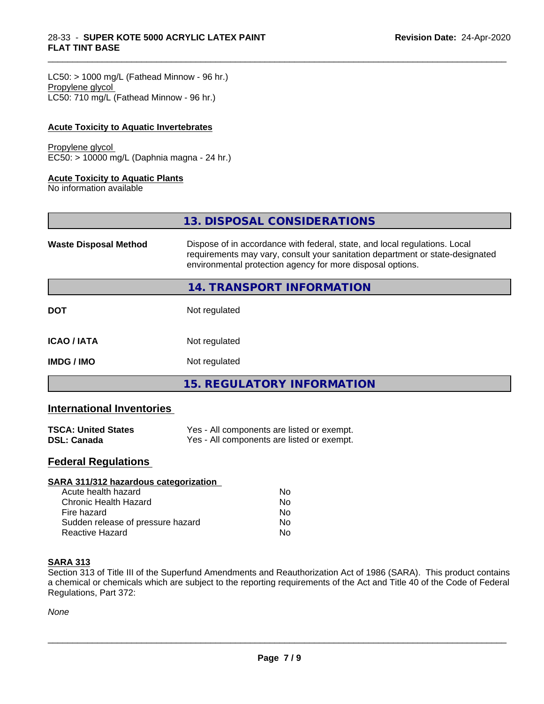$LC50:$  > 1000 mg/L (Fathead Minnow - 96 hr.) Propylene glycol LC50: 710 mg/L (Fathead Minnow - 96 hr.)

### **Acute Toxicity to Aquatic Invertebrates**

### Propylene glycol

EC50: > 10000 mg/L (Daphnia magna - 24 hr.)

#### **Acute Toxicity to Aquatic Plants**

No information available

|                              | 13. DISPOSAL CONSIDERATIONS                                                                                                                                                                                               |
|------------------------------|---------------------------------------------------------------------------------------------------------------------------------------------------------------------------------------------------------------------------|
| <b>Waste Disposal Method</b> | Dispose of in accordance with federal, state, and local regulations. Local<br>requirements may vary, consult your sanitation department or state-designated<br>environmental protection agency for more disposal options. |
|                              | 14. TRANSPORT INFORMATION                                                                                                                                                                                                 |
| <b>DOT</b>                   | Not regulated                                                                                                                                                                                                             |
| <b>ICAO/IATA</b>             | Not regulated                                                                                                                                                                                                             |
| <b>IMDG/IMO</b>              | Not regulated                                                                                                                                                                                                             |
|                              | <b>15. REGULATORY INFORMATION</b>                                                                                                                                                                                         |

\_\_\_\_\_\_\_\_\_\_\_\_\_\_\_\_\_\_\_\_\_\_\_\_\_\_\_\_\_\_\_\_\_\_\_\_\_\_\_\_\_\_\_\_\_\_\_\_\_\_\_\_\_\_\_\_\_\_\_\_\_\_\_\_\_\_\_\_\_\_\_\_\_\_\_\_\_\_\_\_\_\_\_\_\_\_\_\_\_\_\_\_\_

### **International Inventories**

| <b>TSCA: United States</b> | Yes - All components are listed or exempt. |
|----------------------------|--------------------------------------------|
| <b>DSL: Canada</b>         | Yes - All components are listed or exempt. |

### **Federal Regulations**

| SARA 311/312 hazardous categorization |    |  |
|---------------------------------------|----|--|
| Acute health hazard                   | Nο |  |
| Chronic Health Hazard                 | No |  |
| Fire hazard                           | No |  |
| Sudden release of pressure hazard     | Nο |  |
| Reactive Hazard                       | No |  |

### **SARA 313**

Section 313 of Title III of the Superfund Amendments and Reauthorization Act of 1986 (SARA). This product contains a chemical or chemicals which are subject to the reporting requirements of the Act and Title 40 of the Code of Federal Regulations, Part 372:

*None*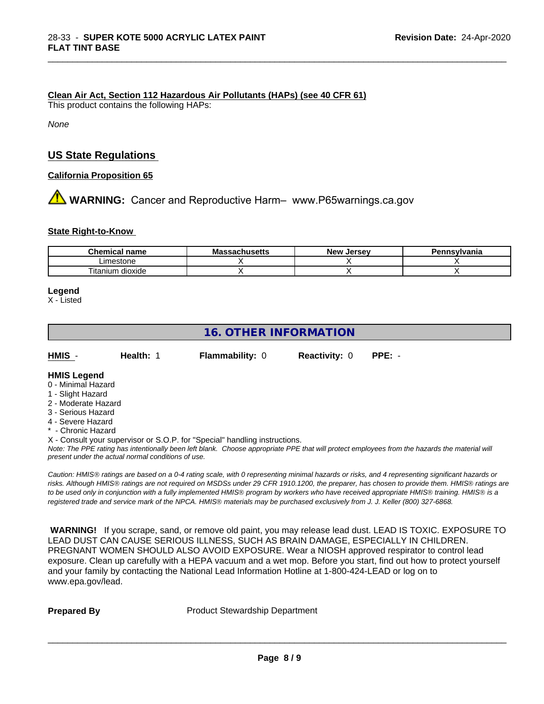#### **Clean Air Act,Section 112 Hazardous Air Pollutants (HAPs) (see 40 CFR 61)**

This product contains the following HAPs:

*None*

### **US State Regulations**

**California Proposition 65**

**AVIMARNING:** Cancer and Reproductive Harm– www.P65warnings.ca.gov

#### **State Right-to-Know**

| <b>Chemical</b><br>name            | aahuealle<br>ıvıa<br>.saunus <del>c</del> us | . Jersev<br><b>Nev</b> | Pennsvlvania |
|------------------------------------|----------------------------------------------|------------------------|--------------|
| _imestone                          |                                              |                        |              |
| --<br><br>dioxide<br>.um<br>itanit |                                              |                        |              |

\_\_\_\_\_\_\_\_\_\_\_\_\_\_\_\_\_\_\_\_\_\_\_\_\_\_\_\_\_\_\_\_\_\_\_\_\_\_\_\_\_\_\_\_\_\_\_\_\_\_\_\_\_\_\_\_\_\_\_\_\_\_\_\_\_\_\_\_\_\_\_\_\_\_\_\_\_\_\_\_\_\_\_\_\_\_\_\_\_\_\_\_\_

#### **Legend**

X - Listed

### **16. OTHER INFORMATION**

| HMIS | Health: 1 | <b>Flammability: 0</b> | <b>Reactivity: 0 PPE: -</b> |  |  |
|------|-----------|------------------------|-----------------------------|--|--|
|------|-----------|------------------------|-----------------------------|--|--|

### **HMIS Legend**

- 0 Minimal Hazard
- 1 Slight Hazard
- 2 Moderate Hazard
- 3 Serious Hazard
- 4 Severe Hazard
- Chronic Hazard

X - Consult your supervisor or S.O.P. for "Special" handling instructions.

*Note: The PPE rating has intentionally been left blank. Choose appropriate PPE that will protect employees from the hazards the material will present under the actual normal conditions of use.*

*Caution: HMISÒ ratings are based on a 0-4 rating scale, with 0 representing minimal hazards or risks, and 4 representing significant hazards or risks. Although HMISÒ ratings are not required on MSDSs under 29 CFR 1910.1200, the preparer, has chosen to provide them. HMISÒ ratings are to be used only in conjunction with a fully implemented HMISÒ program by workers who have received appropriate HMISÒ training. HMISÒ is a registered trade and service mark of the NPCA. HMISÒ materials may be purchased exclusively from J. J. Keller (800) 327-6868.*

 **WARNING!** If you scrape, sand, or remove old paint, you may release lead dust. LEAD IS TOXIC. EXPOSURE TO LEAD DUST CAN CAUSE SERIOUS ILLNESS, SUCH AS BRAIN DAMAGE, ESPECIALLY IN CHILDREN. PREGNANT WOMEN SHOULD ALSO AVOID EXPOSURE.Wear a NIOSH approved respirator to control lead exposure. Clean up carefully with a HEPA vacuum and a wet mop. Before you start, find out how to protect yourself and your family by contacting the National Lead Information Hotline at 1-800-424-LEAD or log on to www.epa.gov/lead.

**Prepared By** Product Stewardship Department